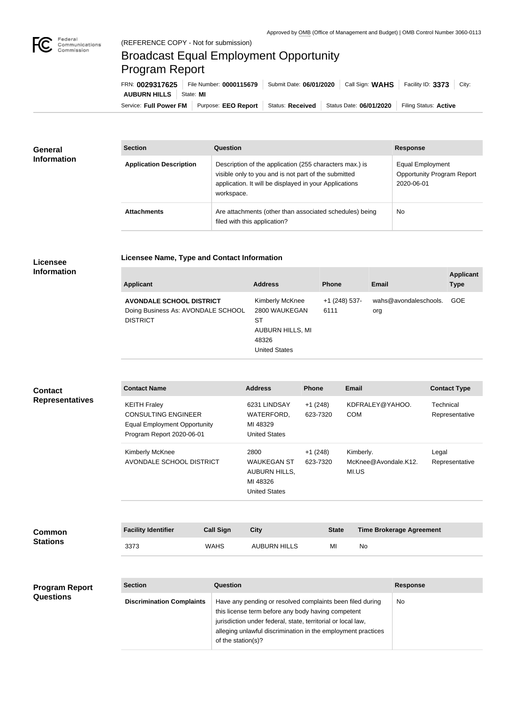

**COL** 

## Broadcast Equal Employment Opportunity Program Report

**Licensee Name, Type and Contact Information**

Service: Full Power FM Purpose: EEO Report | Status: Received | Status Date: 06/01/2020 | Filing Status: Active **AUBURN HILLS** | State: MI FRN: **0029317625** File Number: **0000115679** Submit Date: **06/01/2020** Call Sign: **WAHS** Facility ID: **3373** City:

| <b>General</b><br><b>Information</b> | <b>Section</b>                 | <b>Question</b>                                                                                                                                                                         | <b>Response</b>                                                     |
|--------------------------------------|--------------------------------|-----------------------------------------------------------------------------------------------------------------------------------------------------------------------------------------|---------------------------------------------------------------------|
|                                      | <b>Application Description</b> | Description of the application (255 characters max.) is<br>visible only to you and is not part of the submitted<br>application. It will be displayed in your Applications<br>workspace. | Equal Employment<br><b>Opportunity Program Report</b><br>2020-06-01 |
|                                      | <b>Attachments</b>             | Are attachments (other than associated schedules) being<br>filed with this application?                                                                                                 | No                                                                  |

## **Licensee Information**

| <b>Applicant</b>                                                                         | <b>Address</b>                                                                                            | <b>Phone</b>          | Email                        | <b>Applicant</b><br><b>Type</b> |
|------------------------------------------------------------------------------------------|-----------------------------------------------------------------------------------------------------------|-----------------------|------------------------------|---------------------------------|
| <b>AVONDALE SCHOOL DISTRICT</b><br>Doing Business As: AVONDALE SCHOOL<br><b>DISTRICT</b> | <b>Kimberly McKnee</b><br>2800 WAUKEGAN<br>SТ<br><b>AUBURN HILLS, MI</b><br>48326<br><b>United States</b> | +1 (248) 537-<br>6111 | wahs@avondaleschools.<br>org | <b>GOE</b>                      |

| <b>Contact</b><br><b>Representatives</b>  | <b>Contact Name</b>                                                                                                   |                    | <b>Address</b>                                                                                                                                                                                                                                  | <b>Phone</b>          | <b>Email</b>                               |                                 | <b>Contact Type</b>         |
|-------------------------------------------|-----------------------------------------------------------------------------------------------------------------------|--------------------|-------------------------------------------------------------------------------------------------------------------------------------------------------------------------------------------------------------------------------------------------|-----------------------|--------------------------------------------|---------------------------------|-----------------------------|
|                                           | <b>KEITH Fraley</b><br><b>CONSULTING ENGINEER</b><br><b>Equal Employment Opportunity</b><br>Program Report 2020-06-01 |                    | 6231 LINDSAY<br>WATERFORD,<br>MI 48329<br><b>United States</b>                                                                                                                                                                                  | $+1(248)$<br>623-7320 | KDFRALEY@YAHOO.<br><b>COM</b>              |                                 | Technical<br>Representative |
|                                           | Kimberly McKnee<br>AVONDALE SCHOOL DISTRICT                                                                           |                    | 2800<br><b>WAUKEGAN ST</b><br><b>AUBURN HILLS,</b><br>MI 48326<br><b>United States</b>                                                                                                                                                          | $+1(248)$<br>623-7320 | Kimberly.<br>McKnee@Avondale.K12.<br>MI.US |                                 | Legal<br>Representative     |
|                                           |                                                                                                                       |                    |                                                                                                                                                                                                                                                 |                       |                                            |                                 |                             |
| <b>Common</b><br><b>Stations</b>          | <b>Facility Identifier</b>                                                                                            | <b>Call Sign</b>   | <b>City</b>                                                                                                                                                                                                                                     | <b>State</b>          |                                            | <b>Time Brokerage Agreement</b> |                             |
|                                           | 3373                                                                                                                  | <b>WAHS</b>        | <b>AUBURN HILLS</b>                                                                                                                                                                                                                             | MI                    | No                                         |                                 |                             |
|                                           |                                                                                                                       |                    |                                                                                                                                                                                                                                                 |                       |                                            |                                 |                             |
| <b>Program Report</b><br><b>Questions</b> | <b>Section</b>                                                                                                        | <b>Question</b>    |                                                                                                                                                                                                                                                 |                       |                                            | <b>Response</b>                 |                             |
|                                           | <b>Discrimination Complaints</b>                                                                                      | of the station(s)? | Have any pending or resolved complaints been filed during<br>this license term before any body having competent<br>jurisdiction under federal, state, territorial or local law,<br>alleging unlawful discrimination in the employment practices |                       |                                            | No                              |                             |